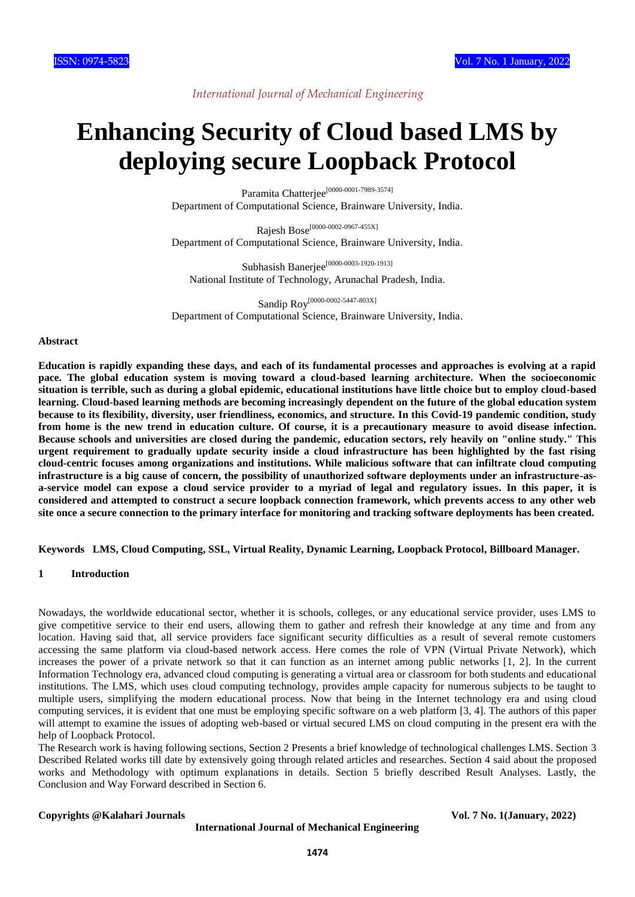# *International Journal of Mechanical Engineering*

# **Enhancing Security of Cloud based LMS by deploying secure Loopback Protocol**

Paramita Chatterjee<sup>[0000-0001-7989-3574]</sup> Department of Computational Science, Brainware University, India.

Rajesh Bose[0000-0002-0967-455X] Department of Computational Science, Brainware University, India.

Subhasish Banerjee<sup>[0000-0003-1920-1913]</sup> National Institute of Technology, Arunachal Pradesh, India.

Sandip Roy<sup>[0000-0002-5447-803X]</sup> Department of Computational Science, Brainware University, India.

#### **Abstract**

**Education is rapidly expanding these days, and each of its fundamental processes and approaches is evolving at a rapid pace. The global education system is moving toward a cloud-based learning architecture. When the socioeconomic situation is terrible, such as during a global epidemic, educational institutions have little choice but to employ cloud-based learning. Cloud-based learning methods are becoming increasingly dependent on the future of the global education system because to its flexibility, diversity, user friendliness, economics, and structure. In this Covid-19 pandemic condition, study from home is the new trend in education culture. Of course, it is a precautionary measure to avoid disease infection. Because schools and universities are closed during the pandemic, education sectors, rely heavily on "online study." This urgent requirement to gradually update security inside a cloud infrastructure has been highlighted by the fast rising cloud-centric focuses among organizations and institutions. While malicious software that can infiltrate cloud computing infrastructure is a big cause of concern, the possibility of unauthorized software deployments under an infrastructure-asa-service model can expose a cloud service provider to a myriad of legal and regulatory issues. In this paper, it is considered and attempted to construct a secure loopback connection framework, which prevents access to any other web site once a secure connection to the primary interface for monitoring and tracking software deployments has been created.**

**Keywords LMS, Cloud Computing, SSL, Virtual Reality, Dynamic Learning, Loopback Protocol, Billboard Manager.**

### **1 Introduction**

Nowadays, the worldwide educational sector, whether it is schools, colleges, or any educational service provider, uses LMS to give competitive service to their end users, allowing them to gather and refresh their knowledge at any time and from any location. Having said that, all service providers face significant security difficulties as a result of several remote customers accessing the same platform via cloud-based network access. Here comes the role of VPN (Virtual Private Network), which increases the power of a private network so that it can function as an internet among public networks [1, 2]. In the current Information Technology era, advanced cloud computing is generating a virtual area or classroom for both students and educational institutions. The LMS, which uses cloud computing technology, provides ample capacity for numerous subjects to be taught to multiple users, simplifying the modern educational process. Now that being in the Internet technology era and using cloud computing services, it is evident that one must be employing specific software on a web platform [3, 4]. The authors of this paper will attempt to examine the issues of adopting web-based or virtual secured LMS on cloud computing in the present era with the help of Loopback Protocol.

The Research work is having following sections, Section 2 Presents a brief knowledge of technological challenges LMS. Section 3 Described Related works till date by extensively going through related articles and researches. Section 4 said about the proposed works and Methodology with optimum explanations in details. Section 5 briefly described Result Analyses. Lastly, the Conclusion and Way Forward described in Section 6.

#### **Copyrights @Kalahari Journals Vol. 7 No. 1(January, 2022)**

**International Journal of Mechanical Engineering**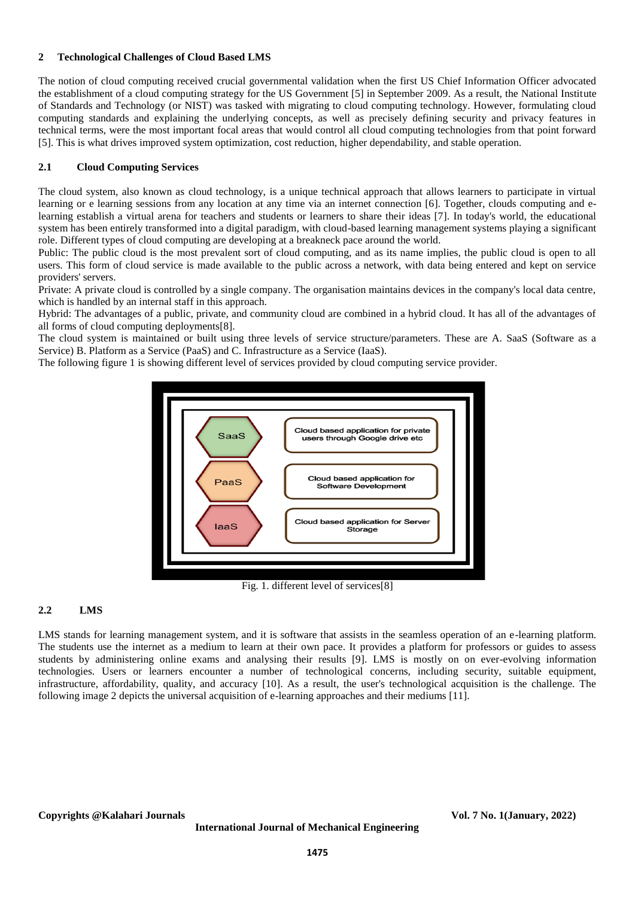## **2 Technological Challenges of Cloud Based LMS**

The notion of cloud computing received crucial governmental validation when the first US Chief Information Officer advocated the establishment of a cloud computing strategy for the US Government [5] in September 2009. As a result, the National Institute of Standards and Technology (or NIST) was tasked with migrating to cloud computing technology. However, formulating cloud computing standards and explaining the underlying concepts, as well as precisely defining security and privacy features in technical terms, were the most important focal areas that would control all cloud computing technologies from that point forward [5]. This is what drives improved system optimization, cost reduction, higher dependability, and stable operation.

# **2.1 Cloud Computing Services**

The cloud system, also known as cloud technology, is a unique technical approach that allows learners to participate in virtual learning or e learning sessions from any location at any time via an internet connection [6]. Together, clouds computing and elearning establish a virtual arena for teachers and students or learners to share their ideas [7]. In today's world, the educational system has been entirely transformed into a digital paradigm, with cloud-based learning management systems playing a significant role. Different types of cloud computing are developing at a breakneck pace around the world.

Public: The public cloud is the most prevalent sort of cloud computing, and as its name implies, the public cloud is open to all users. This form of cloud service is made available to the public across a network, with data being entered and kept on service providers' servers.

Private: A private cloud is controlled by a single company. The organisation maintains devices in the company's local data centre, which is handled by an internal staff in this approach.

Hybrid: The advantages of a public, private, and community cloud are combined in a hybrid cloud. It has all of the advantages of all forms of cloud computing deployments[8].

The cloud system is maintained or built using three levels of service structure/parameters. These are A. SaaS (Software as a Service) B. Platform as a Service (PaaS) and C. Infrastructure as a Service (IaaS).

The following figure 1 is showing different level of services provided by cloud computing service provider.



Fig. 1. different level of services[8]

# **2.2 LMS**

LMS stands for learning management system, and it is software that assists in the seamless operation of an e-learning platform. The students use the internet as a medium to learn at their own pace. It provides a platform for professors or guides to assess students by administering online exams and analysing their results [9]. LMS is mostly on on ever-evolving information technologies. Users or learners encounter a number of technological concerns, including security, suitable equipment, infrastructure, affordability, quality, and accuracy [10]. As a result, the user's technological acquisition is the challenge. The following image 2 depicts the universal acquisition of e-learning approaches and their mediums [11].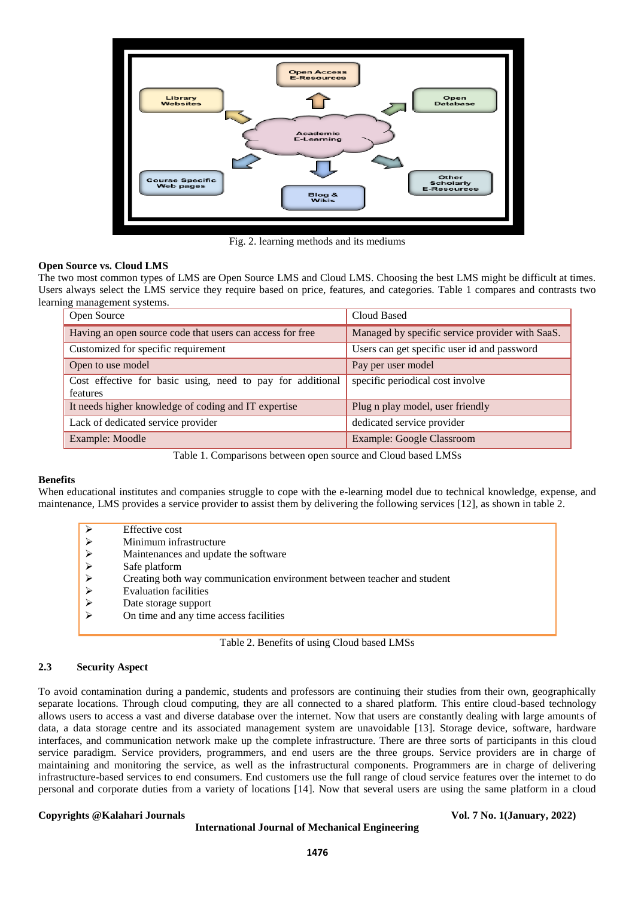

Fig. 2. learning methods and its mediums

# **Open Source vs. Cloud LMS**

The two most common types of LMS are Open Source LMS and Cloud LMS. Choosing the best LMS might be difficult at times. Users always select the LMS service they require based on price, features, and categories. Table 1 compares and contrasts two learning management systems.

| Open Source                                                            | Cloud Based                                     |
|------------------------------------------------------------------------|-------------------------------------------------|
| Having an open source code that users can access for free              | Managed by specific service provider with SaaS. |
| Customized for specific requirement                                    | Users can get specific user id and password     |
| Open to use model                                                      | Pay per user model                              |
| Cost effective for basic using, need to pay for additional<br>features | specific periodical cost involve                |
| It needs higher knowledge of coding and IT expertise                   | Plug n play model, user friendly                |
| Lack of dedicated service provider                                     | dedicated service provider                      |
| Example: Moodle                                                        | <b>Example: Google Classroom</b>                |

Table 1. Comparisons between open source and Cloud based LMSs

# **Benefits**

When educational institutes and companies struggle to cope with the e-learning model due to technical knowledge, expense, and maintenance, LMS provides a service provider to assist them by delivering the following services [12], as shown in table 2.

| ⋗                     | Effective cost                                                          |
|-----------------------|-------------------------------------------------------------------------|
| ➤                     | Minimum infrastructure                                                  |
| $\blacktriangleright$ | Maintenances and update the software                                    |
| $\triangleright$      | Safe platform                                                           |
| ➤                     | Creating both way communication environment between teacher and student |
| ➤                     | <b>Evaluation facilities</b>                                            |
| ➤                     | Date storage support                                                    |
| ↘                     | On time and any time access facilities                                  |
|                       |                                                                         |

Table 2. Benefits of using Cloud based LMSs

# **2.3 Security Aspect**

To avoid contamination during a pandemic, students and professors are continuing their studies from their own, geographically separate locations. Through cloud computing, they are all connected to a shared platform. This entire cloud-based technology allows users to access a vast and diverse database over the internet. Now that users are constantly dealing with large amounts of data, a data storage centre and its associated management system are unavoidable [13]. Storage device, software, hardware interfaces, and communication network make up the complete infrastructure. There are three sorts of participants in this cloud service paradigm. Service providers, programmers, and end users are the three groups. Service providers are in charge of maintaining and monitoring the service, as well as the infrastructural components. Programmers are in charge of delivering infrastructure-based services to end consumers. End customers use the full range of cloud service features over the internet to do personal and corporate duties from a variety of locations [14]. Now that several users are using the same platform in a cloud

### **Copyrights @Kalahari Journals Vol. 7 No. 1(January, 2022)**

#### **International Journal of Mechanical Engineering**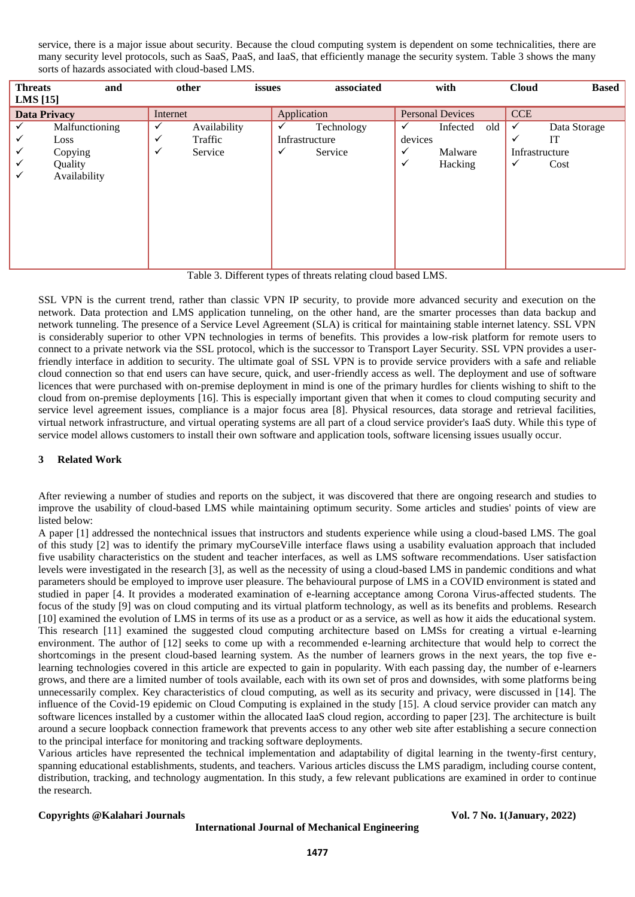service, there is a major issue about security. Because the cloud computing system is dependent on some technicalities, there are many security level protocols, such as SaaS, PaaS, and IaaS, that efficiently manage the security system. Table 3 shows the many sorts of hazards associated with cloud-based LMS.

| <b>Threats</b><br><b>LMS</b> [15] | and                                                          | other                                        | issues | associated                                                   | with                                                                           |     | <b>Cloud</b>                  | <b>Based</b>                      |
|-----------------------------------|--------------------------------------------------------------|----------------------------------------------|--------|--------------------------------------------------------------|--------------------------------------------------------------------------------|-----|-------------------------------|-----------------------------------|
| <b>Data Privacy</b>               |                                                              | Internet                                     |        | Application                                                  | <b>Personal Devices</b>                                                        |     | <b>CCE</b>                    |                                   |
| ✓<br>✓<br>✓<br>✓<br>✓             | Malfunctioning<br>Loss<br>Copying<br>Quality<br>Availability | Availability<br>Traffic<br>v<br>Service<br>✓ |        | Technology<br>✓<br>Infrastructure<br>$\checkmark$<br>Service | Infected<br>✓<br>devices<br>$\checkmark$<br>Malware<br>$\checkmark$<br>Hacking | old | ✓<br>✓<br>Infrastructure<br>✓ | Data Storage<br><b>IT</b><br>Cost |
|                                   |                                                              |                                              |        |                                                              |                                                                                |     |                               |                                   |

Table 3. Different types of threats relating cloud based LMS.

SSL VPN is the current trend, rather than classic VPN IP security, to provide more advanced security and execution on the network. Data protection and LMS application tunneling, on the other hand, are the smarter processes than data backup and network tunneling. The presence of a Service Level Agreement (SLA) is critical for maintaining stable internet latency. SSL VPN is considerably superior to other VPN technologies in terms of benefits. This provides a low-risk platform for remote users to connect to a private network via the SSL protocol, which is the successor to Transport Layer Security. SSL VPN provides a userfriendly interface in addition to security. The ultimate goal of SSL VPN is to provide service providers with a safe and reliable cloud connection so that end users can have secure, quick, and user-friendly access as well. The deployment and use of software licences that were purchased with on-premise deployment in mind is one of the primary hurdles for clients wishing to shift to the cloud from on-premise deployments [16]. This is especially important given that when it comes to cloud computing security and service level agreement issues, compliance is a major focus area [8]. Physical resources, data storage and retrieval facilities, virtual network infrastructure, and virtual operating systems are all part of a cloud service provider's IaaS duty. While this type of service model allows customers to install their own software and application tools, software licensing issues usually occur.

# **3 Related Work**

After reviewing a number of studies and reports on the subject, it was discovered that there are ongoing research and studies to improve the usability of cloud-based LMS while maintaining optimum security. Some articles and studies' points of view are listed below:

A paper [1] addressed the nontechnical issues that instructors and students experience while using a cloud-based LMS. The goal of this study [2] was to identify the primary myCourseVille interface flaws using a usability evaluation approach that included five usability characteristics on the student and teacher interfaces, as well as LMS software recommendations. User satisfaction levels were investigated in the research [3], as well as the necessity of using a cloud-based LMS in pandemic conditions and what parameters should be employed to improve user pleasure. The behavioural purpose of LMS in a COVID environment is stated and studied in paper [4. It provides a moderated examination of e-learning acceptance among Corona Virus-affected students. The focus of the study [9] was on cloud computing and its virtual platform technology, as well as its benefits and problems. Research [10] examined the evolution of LMS in terms of its use as a product or as a service, as well as how it aids the educational system. This research [11] examined the suggested cloud computing architecture based on LMSs for creating a virtual e-learning environment. The author of [12] seeks to come up with a recommended e-learning architecture that would help to correct the shortcomings in the present cloud-based learning system. As the number of learners grows in the next years, the top five elearning technologies covered in this article are expected to gain in popularity. With each passing day, the number of e-learners grows, and there are a limited number of tools available, each with its own set of pros and downsides, with some platforms being unnecessarily complex. Key characteristics of cloud computing, as well as its security and privacy, were discussed in [14]. The influence of the Covid-19 epidemic on Cloud Computing is explained in the study [15]. A cloud service provider can match any software licences installed by a customer within the allocated IaaS cloud region, according to paper [23]. The architecture is built around a secure loopback connection framework that prevents access to any other web site after establishing a secure connection to the principal interface for monitoring and tracking software deployments.

Various articles have represented the technical implementation and adaptability of digital learning in the twenty-first century, spanning educational establishments, students, and teachers. Various articles discuss the LMS paradigm, including course content, distribution, tracking, and technology augmentation. In this study, a few relevant publications are examined in order to continue the research.

# **Copyrights @Kalahari Journals Vol. 7 No. 1(January, 2022)**

**International Journal of Mechanical Engineering**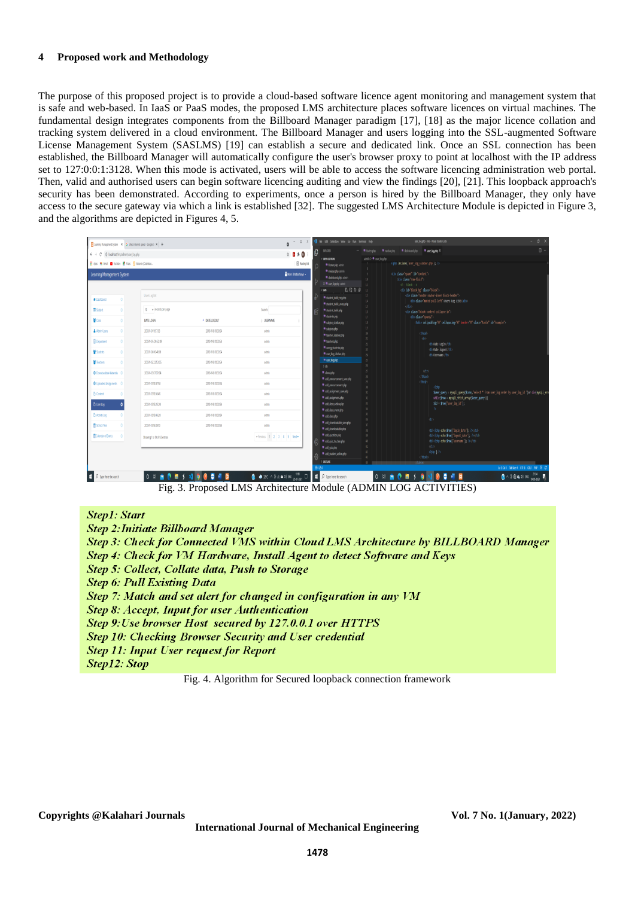#### **4 Proposed work and Methodology**

The purpose of this proposed project is to provide a cloud-based software licence agent monitoring and management system that is safe and web-based. In IaaS or PaaS modes, the proposed LMS architecture places software licences on virtual machines. The fundamental design integrates components from the Billboard Manager paradigm [17], [18] as the major licence collation and tracking system delivered in a cloud environment. The Billboard Manager and users logging into the SSL-augmented Software License Management System (SASLMS) [19] can establish a secure and dedicated link. Once an SSL connection has been established, the Billboard Manager will automatically configure the user's browser proxy to point at localhost with the IP address set to 127:0:0:1:3128. When this mode is activated, users will be able to access the software licencing administration web portal. Then, valid and authorised users can begin software licencing auditing and view the findings [20], [21]. This loopback approach's security has been demonstrated. According to experiments, once a person is hired by the Billboard Manager, they only have access to the secure gateway via which a link is established [32]. The suggested LMS Architecture Module is depicted in Figure 3, and the algorithms are depicted in Figures 4, 5.

|                                                                 | $\boxed{8}$ Learning Management System $\begin{array}{ccc} \mathbf{X} & \mathbf{G} \end{array}$ check internet speed - Google S: $\begin{array}{ccc} \mathbf{X} & \mathbf{+} \end{array}$ |                     | $-$ 0 $\times$<br>Ô                                                                                                                                                                                                                                                                                                                                 | X He Edit Selection View Go Ran Terminal Help        |                          | user Jog.php - Ims - Visual Studio Code                                                                                                                | $- 0$                                  |  |
|-----------------------------------------------------------------|-------------------------------------------------------------------------------------------------------------------------------------------------------------------------------------------|---------------------|-----------------------------------------------------------------------------------------------------------------------------------------------------------------------------------------------------------------------------------------------------------------------------------------------------------------------------------------------------|------------------------------------------------------|--------------------------|--------------------------------------------------------------------------------------------------------------------------------------------------------|----------------------------------------|--|
| $\leftarrow$ $\rightarrow$ C © localhost/Ins/admin/user_log.php |                                                                                                                                                                                           |                     | $\begin{picture}(20,20) \put(0,0){\line(1,0){10}} \put(15,0){\line(1,0){10}} \put(15,0){\line(1,0){10}} \put(15,0){\line(1,0){10}} \put(15,0){\line(1,0){10}} \put(15,0){\line(1,0){10}} \put(15,0){\line(1,0){10}} \put(15,0){\line(1,0){10}} \put(15,0){\line(1,0){10}} \put(15,0){\line(1,0){10}} \put(15,0){\line(1,0){10}} \put(15,0){\line(1$ | <b>EXPLORER</b><br>ρ                                 |                          | R footesthe R nedestphp R debboardphp R use books X                                                                                                    | $\square$                              |  |
| El Apps M Gmail @ YouTube @ Maps @ Educatic (Dashboar           |                                                                                                                                                                                           |                     | <b>B</b> Feating list                                                                                                                                                                                                                                                                                                                               | <b>OPEN EDITORS</b><br>R footer.php admin            | admin > # use_log.php    |                                                                                                                                                        |                                        |  |
| Learning Management System                                      |                                                                                                                                                                                           |                     | Mon Bhatacharya .                                                                                                                                                                                                                                                                                                                                   | R nadarphp admin<br>R dishboardphp admin             |                          | <div class="spar9" id="content"><br/><div class="rov-fluid"></div></div>                                                                               |                                        |  |
|                                                                 |                                                                                                                                                                                           |                     |                                                                                                                                                                                                                                                                                                                                                     | X * usr, logglip atinin                              |                          | cl-block->>                                                                                                                                            |                                        |  |
| <b>#</b> Dethoard                                               | Users Log List                                                                                                                                                                            |                     |                                                                                                                                                                                                                                                                                                                                                     | C. C. O. 0<br>$\times$ LMS<br>student_table_reg.php  | 12<br>$-11$              | ofiv id "block_bg" class "block"><br><div class="navbar navbar-inner block-header"><br/><div class="nuted pull-left">Users tog List</div></div>        |                                        |  |
| <b>B</b> Subject                                                | 10 v records per page                                                                                                                                                                     |                     | Search                                                                                                                                                                                                                                                                                                                                              | R student table unreachp<br>R student tableaba       | 15<br>$\overline{16}$    | cidiv><br><div class="block-content collapse in"></div>                                                                                                |                                        |  |
| <sup>替</sup> Oass                                               | DATELOGN                                                                                                                                                                                  | A DATE LOGOUT       | <b>USERNAME</b>                                                                                                                                                                                                                                                                                                                                     | <sup>*</sup> studentsphp<br>Reabject sidebarpho      | 17<br>18                 | <table "0"="" border="0" cellpadding="" cellspacing="" class="table" id="example"></table>                                                             |                                        |  |
| Adnin Users                                                     | 2013/8-01 11:57:33                                                                                                                                                                        | 2013-1-18 10:33:54  | admin                                                                                                                                                                                                                                                                                                                                               | R subjectsphp<br>R tracher sidebaraho                |                          | cthead>                                                                                                                                                |                                        |  |
| <b>Department</b>                                               | 203105095209                                                                                                                                                                              | 2013-1-18 10:33:54  | admin                                                                                                                                                                                                                                                                                                                                               | R teachersalto                                       |                          | (tr)<br><th>Date Login</th>                                                                                                                            | Date Login                             |  |
| ₩ Studerts                                                      | 203108104109                                                                                                                                                                              | 203-5-8103354       | admin                                                                                                                                                                                                                                                                                                                                               | meg_students.php<br>R use log sidebarphy             | $\overline{\mathcal{U}}$ | ctholate logarts/th<br><th>Username(/th&gt;</th>                                                                                                       | Username(/th>                          |  |
| <b>普</b> Teachers                                               | 2013-11-12 22 53 05                                                                                                                                                                       | 2013-1-18 10:33:54  | admin                                                                                                                                                                                                                                                                                                                                               | <sup>m</sup> use loapho<br>$3 + 46$                  | $\gamma$                 |                                                                                                                                                        |                                        |  |
| <b>O</b> Downloadsbie Materials O                               | 2013-11-13 07:07:04                                                                                                                                                                       | 2013-1-18 10:33:54  | admin                                                                                                                                                                                                                                                                                                                                               | R double                                             |                          | (/tr)<br>dthead                                                                                                                                        |                                        |  |
| <b>O</b> Uploaded Assignments ©                                 | 2013-1-13 13:07:58                                                                                                                                                                        | 2013-1-18 10:33:54  | admin                                                                                                                                                                                                                                                                                                                                               | Read amouncement save php<br>add_anouncement.php     |                          | ctbalp<br>chhp                                                                                                                                         |                                        |  |
| <b>D</b> Content                                                | 203-1-13 13:30:45                                                                                                                                                                         | 2013-1-18 10:33:54  | admin                                                                                                                                                                                                                                                                                                                                               | R add assignment savepho<br># add_assignment.php     | $\upsilon$               | Suser query = mysqli query(\$conn,"select * from user log order by user log id ")or die(mysqli err<br>while(\$row - mysqli fetch array(\$user_query)){ |                                        |  |
| n User Log                                                      | 203-8-152520                                                                                                                                                                              | 2013-11-18 10:33:54 | admin                                                                                                                                                                                                                                                                                                                                               | Radd class action php                                |                          | \$id = \$row['user log id'];                                                                                                                           |                                        |  |
| <b>D</b> Activity Log                                           | 203-8-B 15:46:28                                                                                                                                                                          | 2013-11-18 10:33:54 | admin                                                                                                                                                                                                                                                                                                                                               | R add class event php<br>R add classato              |                          | dr.                                                                                                                                                    |                                        |  |
| School Year                                                     | 2013-1-13 16:04:10                                                                                                                                                                        | 2013-1-18 10:33:54  | admin                                                                                                                                                                                                                                                                                                                                               | # add downloadable save php<br># add downloadablephp |                          |                                                                                                                                                        |                                        |  |
| 图 Colendar of Events                                            | Showing 1 to 10 of 93 entries                                                                                                                                                             |                     | + Previous 1 2 3 4 5 Next+                                                                                                                                                                                                                                                                                                                          | R ald questionphp<br>Readd quiz to class php         | $\overline{\mathcal{N}}$ | <td><?php echo \$row['usemane']; ?></td>                                                                                                               | php echo \$row['usemane']; ?           |  |
|                                                                 |                                                                                                                                                                                           |                     |                                                                                                                                                                                                                                                                                                                                                     | R add guizaho<br>R add student action.php            | $\mathbb{R}^n$           |                                                                                                                                                        |                                        |  |
|                                                                 |                                                                                                                                                                                           |                     |                                                                                                                                                                                                                                                                                                                                                     | <b>OUTLINE</b>                                       |                          | (thody)                                                                                                                                                |                                        |  |
|                                                                 |                                                                                                                                                                                           |                     |                                                                                                                                                                                                                                                                                                                                                     | 0点0                                                  |                          |                                                                                                                                                        | Lt1.Cd1 TabSar4 UTF-8 ONF PHP R C      |  |
| $\mathbf{F}$ $\rho$ Type here to search                         | $0 = 0.00000000$                                                                                                                                                                          |                     | $\begin{bmatrix} 0 & 0 & 0 \end{bmatrix}$ and $\begin{bmatrix} 0 & 0 \end{bmatrix}$ and $\begin{bmatrix} 0 & 0 \end{bmatrix}$ and $\begin{bmatrix} 0 & 0 \end{bmatrix}$                                                                                                                                                                             | $\Box$ $\rho$ Type here to search                    |                          | $0 \times \mathbf{m}$                                                                                                                                  | ● ^ 0 8 4 4 8 86 $\frac{134}{10.6322}$ |  |

Fig. 3. Proposed LMS Architecture Module (ADMIN LOG ACTIVITIES)

# **Step1: Start**

**Step 2: Initiate Billboard Manager** Step 3: Check for Connected VMS within Cloud LMS Architecture by BILLBOARD Manager Step 4: Check for VM Hardware, Install Agent to detect Software and Keys **Step 5: Collect, Collate data, Push to Storage Step 6: Pull Existing Data** Step 7: Match and set alert for changed in configuration in any VM **Step 8: Accept, Input for user Authentication** Step 9: Use browser Host secured by 127.0.0.1 over HTTPS **Step 10: Checking Browser Security and User credential Step 11: Input User request for Report Step12: Stop** 

Fig. 4. Algorithm for Secured loopback connection framework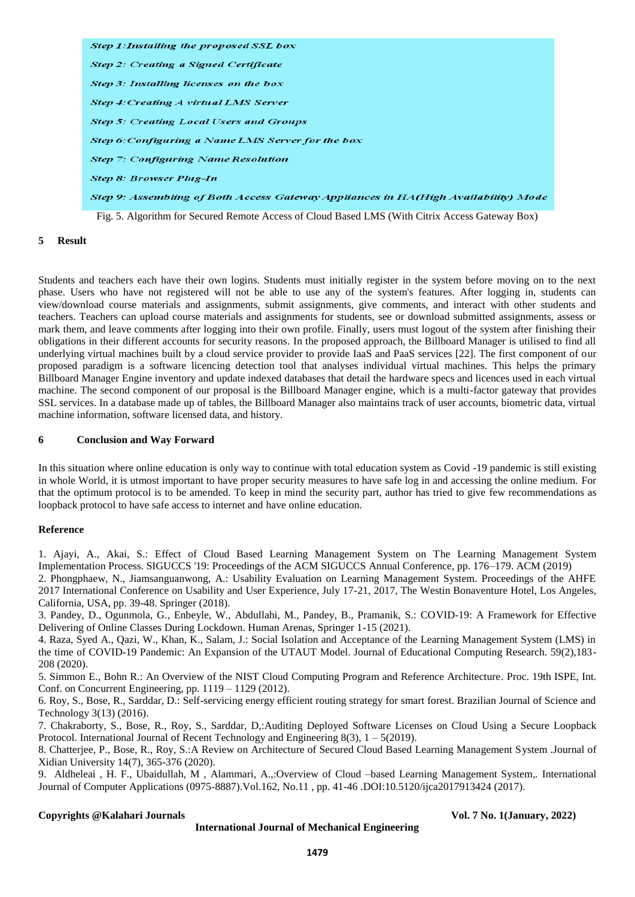Step 1: Installing the proposed SSL box Step 2: Creating a Signed Certificate Step 3: Installing licenses on the box **Step 4: Creating A virtual LMS Server Step 5: Creating Local Users and Groups** Step 6: Configuring a Name LMS Server for the box **Step 7: Configuring Name Resolution Step 8: Browser Plug-In** Step 9: Assembling of Both Access Gateway Appliances in HA(High Availability) Mode Fig. 5. Algorithm for Secured Remote Access of Cloud Based LMS (With Citrix Access Gateway Box)

# **5 Result**

Students and teachers each have their own logins. Students must initially register in the system before moving on to the next phase. Users who have not registered will not be able to use any of the system's features. After logging in, students can view/download course materials and assignments, submit assignments, give comments, and interact with other students and teachers. Teachers can upload course materials and assignments for students, see or download submitted assignments, assess or mark them, and leave comments after logging into their own profile. Finally, users must logout of the system after finishing their obligations in their different accounts for security reasons. In the proposed approach, the Billboard Manager is utilised to find all underlying virtual machines built by a cloud service provider to provide IaaS and PaaS services [22]. The first component of our proposed paradigm is a software licencing detection tool that analyses individual virtual machines. This helps the primary Billboard Manager Engine inventory and update indexed databases that detail the hardware specs and licences used in each virtual machine. The second component of our proposal is the Billboard Manager engine, which is a multi-factor gateway that provides SSL services. In a database made up of tables, the Billboard Manager also maintains track of user accounts, biometric data, virtual machine information, software licensed data, and history.

# **6 Conclusion and Way Forward**

In this situation where online education is only way to continue with total education system as Covid -19 pandemic is still existing in whole World, it is utmost important to have proper security measures to have safe log in and accessing the online medium. For that the optimum protocol is to be amended. To keep in mind the security part, author has tried to give few recommendations as loopback protocol to have safe access to internet and have online education.

### **Reference**

1. Ajayi, A., Akai, S.: Effect of Cloud Based Learning Management System on The Learning Management System Implementation Process. SIGUCCS '19: Proceedings of the ACM SIGUCCS Annual Conference, pp. 176–179. ACM (2019)

2. Phongphaew, N., Jiamsanguanwong, A.: Usability Evaluation on Learning Management System. Proceedings of the AHFE 2017 International Conference on Usability and User Experience, July 17-21, 2017, The Westin Bonaventure Hotel, Los Angeles, California, USA, pp. 39-48. Springer (2018).

3. Pandey, D., Ogunmola, G., Enbeyle, W., Abdullahi, M., Pandey, B., Pramanik, S.: COVID-19: A Framework for Effective Delivering of Online Classes During Lockdown. Human Arenas, Springer 1-15 (2021).

4. Raza, Syed A., Qazi, W., Khan, K., Salam, J.: Social Isolation and Acceptance of the Learning Management System (LMS) in the time of COVID-19 Pandemic: An Expansion of the UTAUT Model. Journal of Educational Computing Research. 59(2),183- 208 (2020).

5. Simmon E., Bohn R.: An Overview of the NIST Cloud Computing Program and Reference Architecture. Proc. 19th ISPE, Int. Conf. on Concurrent Engineering, pp. 1119 – 1129 (2012).

6. Roy, S., Bose, R., Sarddar, D.: Self-servicing energy efficient routing strategy for smart forest. Brazilian Journal of Science and Technology 3(13) (2016).

7. Chakraborty, S., Bose, R., Roy, S., Sarddar, D,:Auditing Deployed Software Licenses on Cloud Using a Secure Loopback Protocol. International Journal of Recent Technology and Engineering 8(3),  $1 - 5(2019)$ .

8. Chatterjee, P., Bose, R., Roy, S.:A Review on Architecture of Secured Cloud Based Learning Management System .Journal of Xidian University 14(7), 365-376 (2020).

9. Aldheleai , H. F., Ubaidullah, M , Alammari, A.,:Overview of Cloud –based Learning Management System*,.* International Journal of Computer Applications (0975-8887).Vol.162, No.11 , pp. 41-46 .DOI:10.5120/ijca2017913424 (2017).

#### **Copyrights @Kalahari Journals Vol. 7 No. 1(January, 2022)**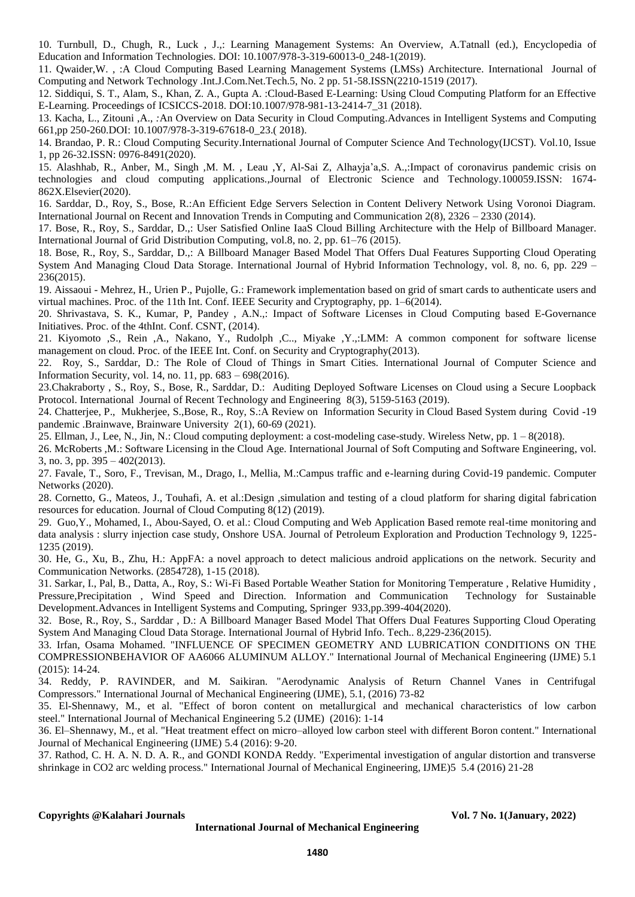10. Turnbull, D., Chugh, R., Luck , J.,: Learning Management Systems: An Overview, A.Tatnall (ed.), Encyclopedia of Education and Information Technologies. DOI: 10.1007/978-3-319-60013-0\_248-1(2019).

11. Qwaider,W. , :A Cloud Computing Based Learning Management Systems (LMSs) Architecture*.* International Journal of Computing and Network Technology .Int.J.Com.Net.Tech.5, No. 2 pp. 51-58.ISSN(2210-1519 (2017).

12. Siddiqui, S. T., Alam, S., Khan, Z. A., Gupta A. :Cloud-Based E-Learning: Using Cloud Computing Platform for an Effective E-Learning. Proceedings of ICSICCS-2018. DOI:10.1007/978-981-13-2414-7\_31 (2018).

13. Kacha, L., Zitouni ,A., *:*An Overview on Data Security in Cloud Computing.Advances in Intelligent Systems and Computing 661,pp 250-260.DOI: 10.1007/978-3-319-67618-0\_23.( 2018).

14. Brandao, P. R.: Cloud Computing Security.International Journal of Computer Science And Technology(IJCST). Vol.10, Issue 1, pp 26-32.ISSN: 0976-8491(2020).

15. Alashhab, R., Anber, M., Singh ,M. M. , Leau ,Y, Al-Sai Z, Alhayja'a,S. A.,:Impact of coronavirus pandemic crisis on technologies and cloud computing applications.,Journal of Electronic Science and Technology.100059.ISSN: 1674- 862X.Elsevier(2020).

16. Sarddar, D., Roy, S., Bose, R.:An Efficient Edge Servers Selection in Content Delivery Network Using Voronoi Diagram. International Journal on Recent and Innovation Trends in Computing and Communication 2(8), 2326 – 2330 (2014).

17. Bose, R., Roy, S., Sarddar, D.,: User Satisfied Online IaaS Cloud Billing Architecture with the Help of Billboard Manager. International Journal of Grid Distribution Computing, vol.8, no. 2, pp. 61–76 (2015).

18. Bose, R., Roy, S., Sarddar, D.,: A Billboard Manager Based Model That Offers Dual Features Supporting Cloud Operating System And Managing Cloud Data Storage. International Journal of Hybrid Information Technology, vol. 8, no. 6, pp. 229 – 236(2015).

19. Aissaoui - Mehrez, H., Urien P., Pujolle, G.: Framework implementation based on grid of smart cards to authenticate users and virtual machines. Proc. of the 11th Int. Conf. IEEE Security and Cryptography, pp. 1–6(2014).

20. Shrivastava, S. K., Kumar, P, Pandey , A.N.,: Impact of Software Licenses in Cloud Computing based E-Governance Initiatives. Proc. of the 4thInt. Conf. CSNT, (2014).

21. Kiyomoto ,S., Rein ,A., Nakano, Y., Rudolph ,C.., Miyake ,Y.,:LMM: A common component for software license management on cloud. Proc. of the IEEE Int. Conf. on Security and Cryptography(2013).

22. Roy, S., Sarddar, D.: The Role of Cloud of Things in Smart Cities. International Journal of Computer Science and Information Security, vol. 14, no. 11, pp. 683 – 698(2016).

23.Chakraborty , S., Roy, S., Bose, R., Sarddar, D.: Auditing Deployed Software Licenses on Cloud using a Secure Loopback Protocol. International Journal of Recent Technology and Engineering 8(3), 5159-5163 (2019).

24. Chatterjee, P., Mukherjee, S.,Bose, R., Roy, S.:A Review on Information Security in Cloud Based System during Covid -19 pandemic .Brainwave, Brainware University 2(1), 60-69 (2021).

25. Ellman, J., Lee, N., Jin, N.: Cloud computing deployment: a cost-modeling case-study. Wireless Netw, pp. 1 – 8(2018).

26. McRoberts ,M.: Software Licensing in the Cloud Age. International Journal of Soft Computing and Software Engineering, vol. 3, no. 3, pp. 395 – 402(2013).

27. Favale, T., Soro, F., Trevisan, M., Drago, I., Mellia, M.:Campus traffic and e-learning during Covid-19 pandemic. Computer Networks (2020).

28. Cornetto, G., Mateos, J., Touhafi, A. et al.:Design ,simulation and testing of a cloud platform for sharing digital fabrication resources for education. Journal of Cloud Computing 8(12) (2019).

29. Guo,Y., Mohamed, I., Abou-Sayed, O. et al.: Cloud Computing and Web Application Based remote real-time monitoring and data analysis : slurry injection case study, Onshore USA. Journal of Petroleum Exploration and Production Technology 9, 1225- 1235 (2019).

30. He, G., Xu, B., Zhu, H.: AppFA: a novel approach to detect malicious android applications on the network. Security and Communication Networks. (2854728), 1-15 (2018).

31. Sarkar, I., Pal, B., Datta, A., Roy, S.: Wi-Fi Based Portable Weather Station for Monitoring Temperature , Relative Humidity , Pressure,Precipitation , Wind Speed and Direction. Information and Communication Technology for Sustainable Development.Advances in Intelligent Systems and Computing, Springer 933,pp.399-404(2020).

32. Bose, R., Roy, S., Sarddar , D.: A Billboard Manager Based Model That Offers Dual Features Supporting Cloud Operating System And Managing Cloud Data Storage. International Journal of Hybrid Info. Tech.. 8,229-236(2015).

33. Irfan, Osama Mohamed. "INFLUENCE OF SPECIMEN GEOMETRY AND LUBRICATION CONDITIONS ON THE COMPRESSIONBEHAVIOR OF AA6066 ALUMINUM ALLOY." International Journal of Mechanical Engineering (IJME) 5.1 (2015): 14-24.

34. Reddy, P. RAVINDER, and M. Saikiran. "Aerodynamic Analysis of Return Channel Vanes in Centrifugal Compressors." International Journal of Mechanical Engineering (IJME), 5.1, (2016) 73-82

35. El-Shennawy, M., et al. "Effect of boron content on metallurgical and mechanical characteristics of low carbon steel." International Journal of Mechanical Engineering 5.2 (IJME) (2016): 1-14

36. El–Shennawy, M., et al. "Heat treatment effect on micro–alloyed low carbon steel with different Boron content." International Journal of Mechanical Engineering (IJME) 5.4 (2016): 9-20.

37. Rathod, C. H. A. N. D. A. R., and GONDI KONDA Reddy. "Experimental investigation of angular distortion and transverse shrinkage in CO2 arc welding process." International Journal of Mechanical Engineering, IJME)5 5.4 (2016) 21-28